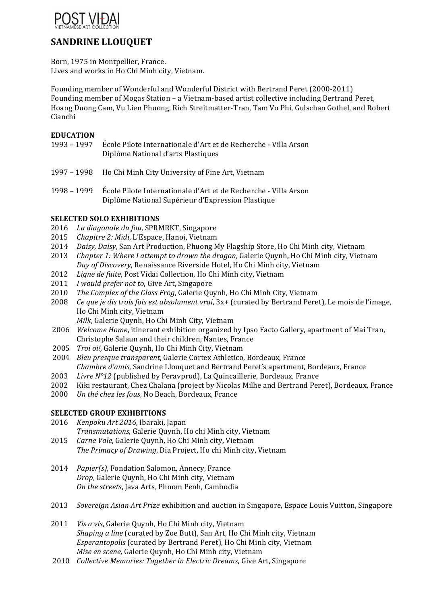

# **SANDRINE LLOUQUET**

Born, 1975 in Montpellier, France. Lives and works in Ho Chi Minh city, Vietnam.

Founding member of Wonderful and Wonderful District with Bertrand Peret (2000-2011) Founding member of Mogas Station – a Vietnam-based artist collective including Bertrand Peret, Hoang Duong Cam, Vu Lien Phuong, Rich Streitmatter-Tran, Tam Vo Phi, Gulschan Gothel, and Robert Cianchi

## **EDUCATION**

- 1993 1997 École Pilote Internationale d'Art et de Recherche Villa Arson Diplôme National d'arts Plastiques
- 1997 1998 Ho Chi Minh City University of Fine Art, Vietnam
- 1998 1999 École Pilote Internationale d'Art et de Recherche Villa Arson Diplôme National Supérieur d'Expression Plastique

## **SELECTED SOLO EXHIBITIONS**

- 2016 La diagonale du fou, SPRMRKT, Singapore
- 2015 *Chapitre 2: Midi*, L'Espace, Hanoi, Vietnam
- 2014 *Daisy, Daisy*, San Art Production, Phuong My Flagship Store, Ho Chi Minh city, Vietnam
- 2013 *Chapter 1: Where I attempt to drown the dragon*, Galerie Ouynh, Ho Chi Minh city, Vietnam Day of Discovery, Renaissance Riverside Hotel, Ho Chi Minh city, Vietnam
- 2012 *Ligne de fuite*, Post Vidai Collection, Ho Chi Minh city, Vietnam
- 2011 *I* would prefer not to, Give Art, Singapore
- 2010 *The Complex of the Glass Frog*, Galerie Quynh, Ho Chi Minh City, Vietnam
- 2008 *Ce que je dis trois fois est absolument vrai*, 3x+ (curated by Bertrand Peret), Le mois de l'image, Ho Chi Minh city, Vietnam
	- *Milk*, Galerie Ouynh, Ho Chi Minh City, Vietnam
- 2006 *Welcome Home*, itinerant exhibition organized by Ipso Facto Gallery, apartment of Mai Tran, Christophe Salaun and their children, Nantes, France
- 2005 *Troi oi!,* Galerie Quynh, Ho Chi Minh City, Vietnam
- 2004 *Bleu presque transparent*, Galerie Cortex Athletico, Bordeaux, France *Chambre d'amis*, Sandrine Llouquet and Bertrand Peret's apartment, Bordeaux, France
- 2003 Livre N°12 (published by Peravprod), La Quincaillerie, Bordeaux, France
- 2002 Kiki restaurant, Chez Chalana (project by Nicolas Milhe and Bertrand Peret), Bordeaux, France
- 2000 *Un thé chez les fous*, No Beach, Bordeaux, France

### **SELECTED GROUP EXHIBITIONS**

- 2016 *Kenpoku Art 2016*, Ibaraki, Japan *Transmutations*, Galerie Quynh, Ho chi Minh city, Vietnam
- 2015 *Carne Vale*, Galerie Quynh, Ho Chi Minh city, Vietnam The Primacy of Drawing, Dia Project, Ho chi Minh city, Vietnam
- 2014 *Papier(s)*, Fondation Salomon, Annecy, France *Drop*, Galerie Quynh, Ho Chi Minh city, Vietnam *On the streets*, Java Arts, Phnom Penh, Cambodia
- 2013 *Sovereign Asian Art Prize* exhibition and auction in Singapore, Espace Louis Vuitton, Singapore
- 2011 *Vis a vis*, Galerie Ouynh, Ho Chi Minh city, Vietnam *Shaping a line* (curated by Zoe Butt), San Art, Ho Chi Minh city, Vietnam *Esperantopolis* (curated by Bertrand Peret), Ho Chi Minh city, Vietnam *Mise en scene*, Galerie Quynh, Ho Chi Minh city, Vietnam
- 2010 *Collective Memories: Together in Electric Dreams*, Give Art, Singapore